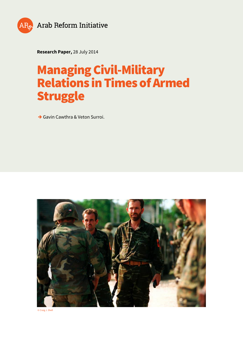

**Research Paper,** 28 July 2014

# **Managing Civil-Military Relations in Times of Armed Struggle**

**→** Gavin Cawthra & Veton Surroi.



© Craig J. Shell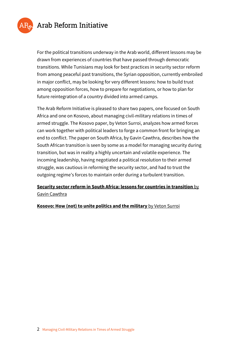

## Arab Reform Initiative

For the political transitions underway in the Arab world, different lessons may be drawn from experiences of countries that have passed through democratic transitions. While Tunisians may look for best practices in security sector reform from among peaceful past transitions, the Syrian opposition, currently embroiled in major conflict, may be looking for very different lessons: how to build trust among opposition forces, how to prepare for negotiations, or how to plan for future reintegration of a country divided into armed camps.

The Arab Reform Initiative is pleased to share two papers, one focused on South Africa and one on Kosovo, about managing civil-military relations in times of armed struggle. The Kosovo paper, by Veton Surroi, analyzes how armed forces can work together with political leaders to forge a common front for bringing an end to conflict. The paper on South Africa, by Gavin Cawthra, describes how the South African transition is seen by some as a model for managing security during transition, but was in reality a highly uncertain and volatile experience. The incoming leadership, having negotiated a political resolution to their armed struggle, was cautious in reforming the security sector, and had to trust the outgoing regime's forces to maintain order during a turbulent transition.

### **[Security sector reform in South Africa: lessons for countries in transition](https://www.arab-reform.net/wp-content/uploads/2014/07/Arab_Reform_Initiative_2014-07_Research_Paper_en_Security_sector_reform_in_South_Africa_lessons_for_countries_in_transition_Gavin_Cawthra.pdf)** [by](https://www.arab-reform.net/wp-content/uploads/2014/07/Arab_Reform_Initiative_2014-07_Research_Paper_en_Security_sector_reform_in_South_Africa_lessons_for_countries_in_transition_Gavin_Cawthra.pdf) [Gavin Cawthra](https://www.arab-reform.net/wp-content/uploads/2014/07/Arab_Reform_Initiative_2014-07_Research_Paper_en_Security_sector_reform_in_South_Africa_lessons_for_countries_in_transition_Gavin_Cawthra.pdf)

**[Kosovo: How \(not\) to unite politics and the military](https://www.arab-reform.net/wp-content/uploads/2014/07/Arab_Reform_Initiative_2014-07_Research_Paper_en_Kosovo_How_not_to_unite_politics_and_the_military_Veton_Surroi.pdf)** [by Veton Surroi](https://www.arab-reform.net/wp-content/uploads/2014/07/Arab_Reform_Initiative_2014-07_Research_Paper_en_Kosovo_How_not_to_unite_politics_and_the_military_Veton_Surroi.pdf)